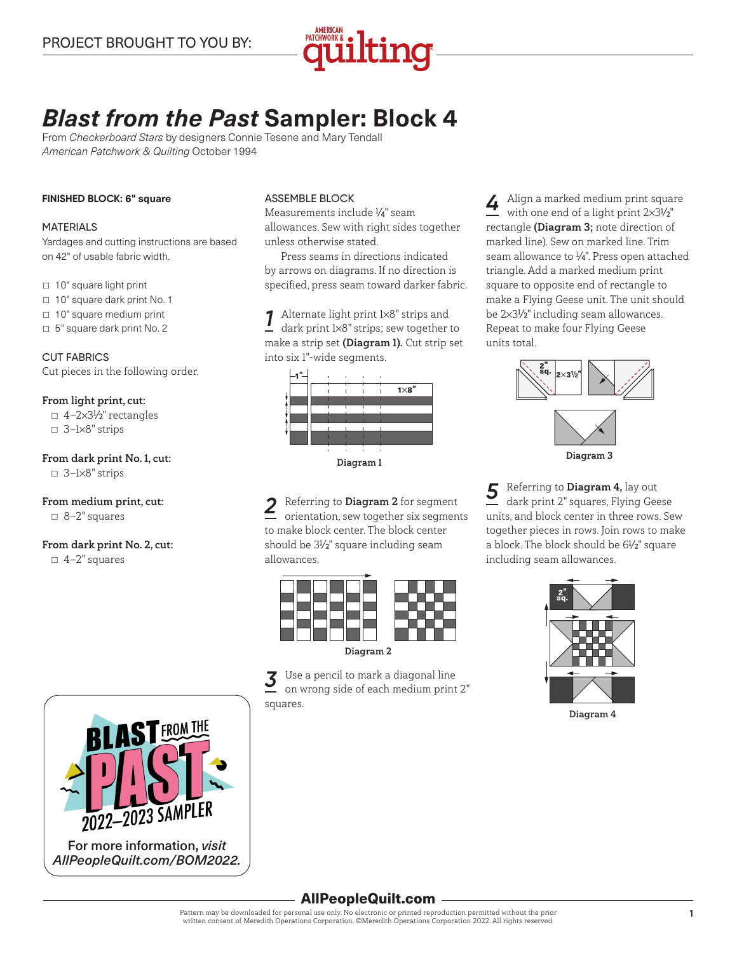

# *Blast from the Past* **Sampler: Block 4**

From *Checkerboard Stars* by designers Connie Tesene and Mary Tendall *American Patchwork & Quilting* October 1994

#### **FINISHED BLOCK: 6" square**

#### MATERIALS

Yardages and cutting instructions are based on 42" of usable fabric width.

□ 10" square light print

- □ 10" square dark print No. 1
- $\Box$  10" square medium print
- □ 5" square dark print No. 2

CUT FABRICS Cut pieces in the following order.

#### From light print, cut:

▫ 4—2×31 ⁄2" rectangles ▫ 3—1×8" strips

#### From dark print No.1, cut:

 $\Box$  3–1×8" strips

#### From medium print, cut:

▫ 8—2" squares

## From dark print No. 2, cut:

 $\Box$  4-2" squares

#### ASSEMBLE BLOCK

Measurements include 1 ⁄4" seam allowances. Sew with right sides together unless otherwise stated.

Press seams in directions indicated by arrows on diagrams. If no direction is specified, press seam toward darker fabric.

*1* Alternate light print 1×8" strips and dark print 1×8" strips; sew together to make a strip set (Diagram 1). Cut strip set into six 1"-wide segments.



Diagram 1

2 Referring to **Diagram 2** for segment<br>
orientation, sew together six segments to make block center. The block center should be 31 ⁄2" square including seam allowances.



*3* Use a pencil to mark a diagonal line on wrong side of each medium print 2" squares.

*4* Align a marked medium print square with one end of a light print 2×31 ⁄2" rectangle (Diagram 3; note direction of marked line). Sew on marked line. Trim seam allowance to 1 ⁄4". Press open attached triangle. Add a marked medium print square to opposite end of rectangle to make a Flying Geese unit. The unit should be 2×31 ⁄2" including seam allowances. Repeat to make four Flying Geese units total. te end of <mark>i</mark>



**5** Referring to **Diagram 4**, lay out dark print 2" squares, Flying Geese units, and block center in three rows. Sew together pieces in rows. Join rows to make a block. The block should be 61 ⁄2" square including seam allowances.



Diagram 4



# AllPeopleQuilt.com

Pattern may be downloaded for personal use only. No electronic or printed reproduction permitted without the prior written consent of Meredith Operations Corporation. ©Meredith Operations Corporation 2022. All rights reserved.